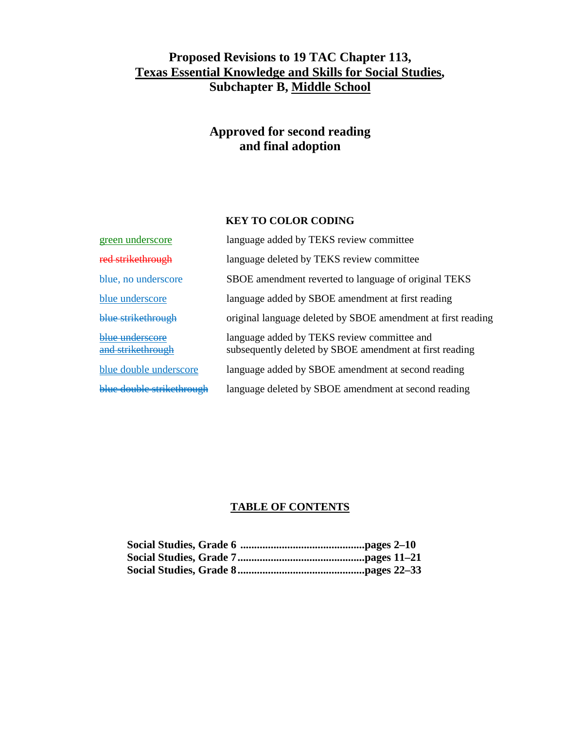# **Proposed Revisions to 19 TAC Chapter 113, Texas Essential Knowledge and Skills for Social Studies , Subchapter B, Middle School**

# **Approved for second reading and final adoption**

## **KEY TO COLOR CODING**

| green underscore                     | language added by TEKS review committee                                                                |
|--------------------------------------|--------------------------------------------------------------------------------------------------------|
| red strikethrough                    | language deleted by TEKS review committee                                                              |
| blue, no underscore                  | SBOE amendment reverted to language of original TEKS                                                   |
| blue underscore                      | language added by SBOE amendment at first reading                                                      |
| blue strikethrough                   | original language deleted by SBOE amendment at first reading                                           |
| blue underscore<br>and strikethrough | language added by TEKS review committee and<br>subsequently deleted by SBOE amendment at first reading |
| blue double underscore               | language added by SBOE amendment at second reading                                                     |
| blue double strikethrough            | language deleted by SBOE amendment at second reading                                                   |

### **TABLE OF CONTENTS**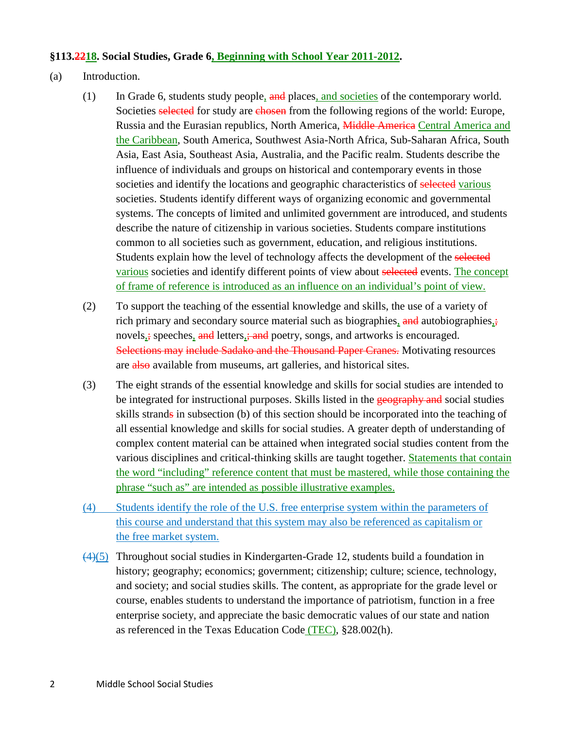### **§113.2218. Social Studies, Grade 6, Beginning with School Year 2011-2012 .**

### (a) Introduction.

- (1) In Grade 6, students study people, and places, and societies of the contemporary world. Societies selected for study are chosen from the following regions of the world: Europe, Russia and the Eurasian republics, North America, Middle America Central America and the Caribbean, South America, Southwest Asia-North Africa, Sub-Saharan Africa, South Asia, East Asia, Southeast Asia, Australia, and the Pacific realm. Students describe the influence of individuals and groups on historical and contemporary events in those societies and identify the locations and geographic characteristics of selected various societies. Students identify different ways of organizing economic and governmental systems. The concepts of limited and unlimited government are introduced, and students describe the nature of citizenship in various societies. Students compare institutions common to all societies such as government, education, and religious institutions. Students explain how the level of technology affects the development of the selected various societies and identify different points of view about selected events. The concept of frame of reference is introduced as an influence on an individual's point of view.
- (2) To support the teaching of the essential knowledge and skills, the use of a variety of rich primary and secondary source material such as biographies, and autobiographies, novels,; speeches, and letters,; and poetry, songs, and artworks is encouraged. Selections may include Sadako and the Thousand Paper Cranes. Motivating resources are also available from museums, art galleries, and historical sites.
- (3) The eight strands of the essential knowledge and skills for social studies are intended to be integrated for instructional purposes. Skills listed in the geography and social studies skills strands in subsection (b) of this section should be incorporated into the teaching of all essential knowledge and skills for social studies. A greater depth of understanding of complex content material can be attained when integrated social studies content from the various disciplines and critical-thinking skills are taught together. Statements that contain the word "including" reference content that must be mastered, while those containing the phrase "such as" are intended as possible illustrative examples.
- (4) Students identify the role of the U.S. free enterprise system within the parameters of this course and understand that this system may also be referenced as capitalism or the free market system.
- (4) (5) Throughout social studies in Kindergarten-Grade 12, students build a foundation in history; geography; economics; government; citizenship; culture; science, technology, and society; and social studies skills. The content, as appropriate for the grade level or course, enables students to understand the importance of patriotism, function in a free enterprise society, and appreciate the basic democratic values of our state and nation as referenced in the Texas Education Code (TEC), §28.002(h).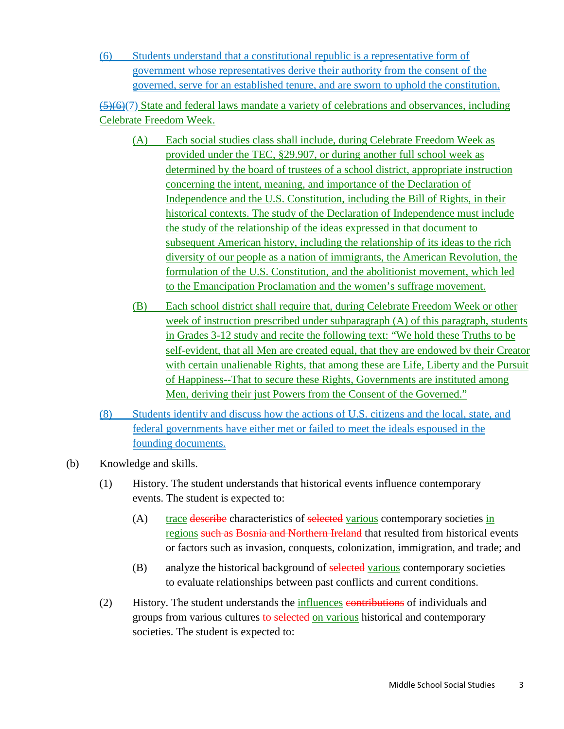(6) Students understand that a constitutional republic is a representative form of government whose representatives derive their authority from the consent of the governed, serve for an established tenure, and are sworn to uphold the constitution.

(5)(6)(7) State and federal laws mandate a variety of celebrations and observances, including Celebrate Freedom Week.

- (A) Each social studies class shall include, during Celebrate Freedom Week as provided under the TEC, §29.907, or during another full school week as determined by the board of trustees of a school district, appropriate instruction concerning the intent, meaning, and importance of the Declaration of Independence and the U.S. Constitution, including the Bill of Rights, in their historical contexts. The study of the Declaration of Independence must include the study of the relationship of the ideas expressed in that document to subsequent American history, including the relationship of its ideas to the rich diversity of our people as a nation of immigrants, the American Revolution, the formulation of the U.S. Constitution, and the abolitionist movement, which led to the Emancipation Proclamation and the women's suffrage movement.
- (B) Each school district shall require that, during Celebrate Freedom Week or other week of instruction prescribed under subparagraph (A) of this paragraph, students in Grades 3-12 study and recite the following text: "We hold these Truths to be self-evident, that all Men are created equal, that they are endowed by their Creator with certain unalienable Rights, that among these are Life, Liberty and the Pursuit of Happiness--That to secure these Rights, Governments are instituted among Men, deriving their just Powers from the Consent of the Governed."
- (8) Students identify and discuss how the actions of U.S. citizens and the local, state, and federal governments have either met or failed to meet the ideals espoused in the founding documents.
- (b) Knowledge and skills.
	- (1) History. The student understands that historical events influence contemporary events. The student is expected to:
		- (A) trace describe characteristics of selected various contemporary societies in regions such as Bosnia and Northern Ireland that resulted from historical events or factors such as invasion, conquests, colonization, immigration, and trade; and
		- (B) analyze the historical background of selected various contemporary societies to evaluate relationships between past conflicts and current conditions.
	- (2) History. The student understands the *influences* contributions of individuals and groups from various cultures to selected on various historical and contemporary societies. The student is expected to: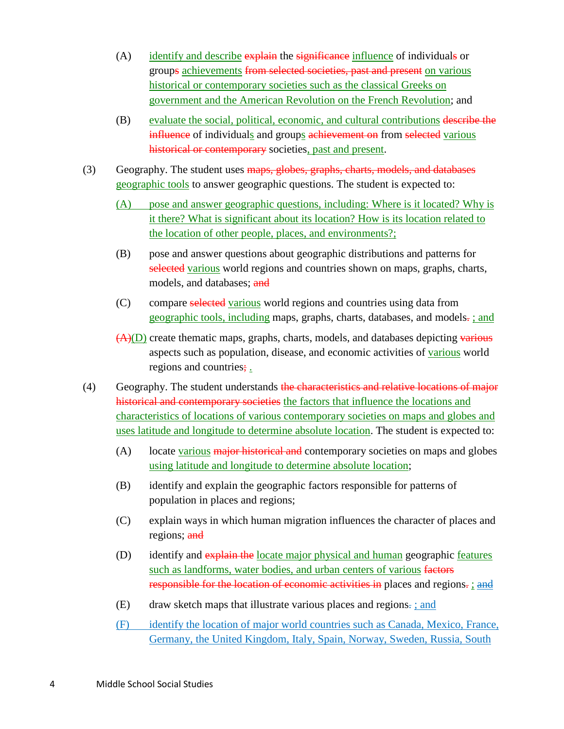- $(A)$  identify and describe explain the significance influence of individuals or groups achievements from selected societies, past and present on various historical or contemporary societies such as the classical Greeks on government and the American Revolution on the French Revolution; and
- (B) evaluate the social, political, economic, and cultural contributions describe the influence of individuals and groups achievement on from selected various historical or contemporary societies, past and present.
- (3) Geography. The student uses maps, globes, graphs, charts, models, and databases geographic tools to answer geographic questions. The student is expected to:
	- (A) pose and answer geographic questions, including: Where is it located? Why is it there? What is significant about its location? How is its location related to the location of other people, places, and environments?;
	- (B) pose and answer questions about geographic distributions and patterns for selected various world regions and countries shown on maps, graphs, charts, models, and databases; and
	- (C) compare selected various world regions and countries using data from geographic tools, including maps, graphs, charts, databases, and models-; and
	- (A)(D) create thematic maps, graphs, charts, models, and databases depicting various aspects such as population, disease, and economic activities of various world regions and countries;
- (4) Geography. The student understands the characteristics and relative locations of major historical and contemporary societies the factors that influence the locations and characteristics of locations of various contemporary societies on maps and globes and uses latitude and longitude to determine absolute location. The student is expected to:
	- (A) locate various major historical and contemporary societies on maps and globes using latitude and longitude to determine absolute location;
	- (B) identify and explain the geographic factors responsible for patterns of population in places and regions;
	- (C) explain ways in which human migration influences the character of places and regions; and
	- (D) identify and explain the locate major physical and human geographic features such as landforms, water bodies, and urban centers of various factors responsible for the location of economic activities in places and regions<del>.</del> ; and
	- (E) draw sketch maps that illustrate various places and regions.: and
	- (F) identify the location of major world countries such as Canada, Mexico, France, Germany, the United Kingdom, Italy, Spain, Norway, Sweden, Russia, South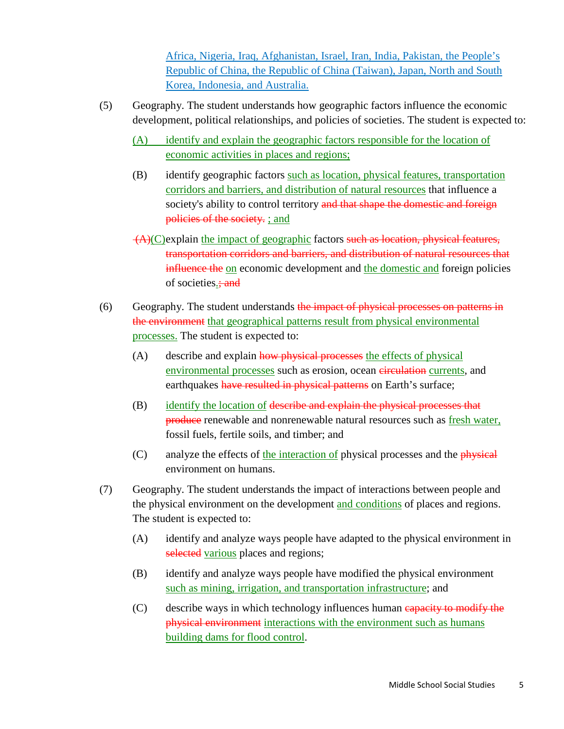Africa, Nigeria, Iraq, Afghanistan, Israel, Iran, India, Pakistan, the People's Republic of China, the Republic of China (Taiwan), Japan, North and South Korea, Indonesia, and Australia.

- (5) Geography. The student understands how geographic factors influence the economic development, political relationships, and policies of societies. The student is expected to:
	- (A) identify and explain the geographic factors responsible for the location of economic activities in places and regions;
	- (B) identify geographic factors such as location, physical features, transportation corridors and barriers, and distribution of natural resources that influence a society's ability to control territory and that shape the domestic and foreign policies of the society. ; and
	- $(A)(C)$ explain the impact of geographic factors such as location, physical features, transportation corridors and barriers, and distribution of natural resources that influence the on economic development and the domestic and foreign policies of societies.; and
- (6) Geography. The student understands the impact of physical processes on patterns in the environment that geographical patterns result from physical environmental processes. The student is expected to:
	- (A) describe and explain how physical processes the effects of physical environmental processes such as erosion, ocean eirculation currents, and earthquakes have resulted in physical patterns on Earth's surface;
	- (B) identify the location of describe and explain the physical processes that produce renewable and nonrenewable natural resources such as fresh water, fossil fuels, fertile soils, and timber; and
	- (C) analyze the effects of the interaction of physical processes and the physical environment on humans.
- (7) Geography. The student understands the impact of interactions between people and the physical environment on the development and conditions of places and regions. The student is expected to:
	- (A) identify and analyze ways people have adapted to the physical environment in selected various places and regions;
	- (B) identify and analyze ways people have modified the physical environment such as mining, irrigation, and transportation infrastructure; and
	- (C) describe ways in which technology influences human capacity to modify the physical environment interactions with the environment such as humans building dams for flood control.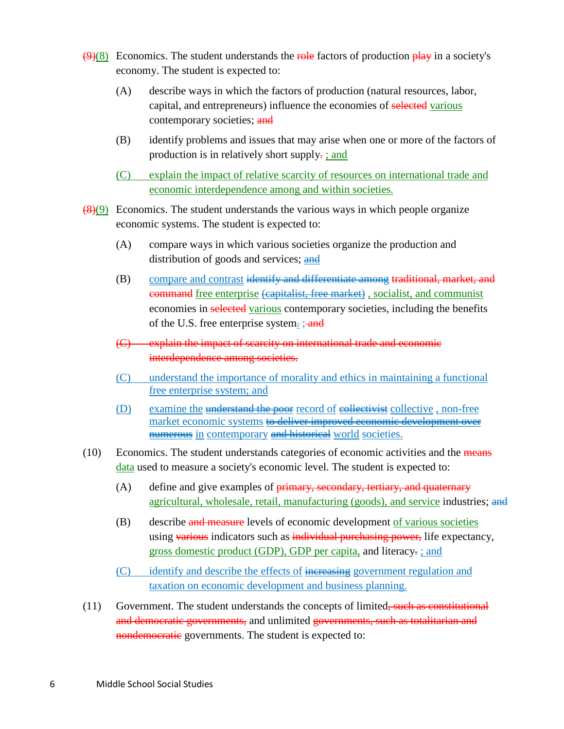- $\frac{1}{18}$  Economics. The student understands the role factors of production  $\frac{\text{play}}{\text{play}}$  in a society's economy. The student is expected to:
	- (A) describe ways in which the factors of production (natural resources, labor, capital, and entrepreneurs) influence the economies of selected various contemporary societies; and
	- (B) identify problems and issues that may arise when one or more of the factors of production is in relatively short supply-: and
	- (C) explain the impact of relative scarcity of resources on international trade and economic interdependence among and within societies.
- $\frac{(8)(9)}{8}$  Economics. The student understands the various ways in which people organize economic systems. The student is expected to:
	- (A) compare ways in which various societies organize the production and distribution of goods and services; **and**
	- (B) compare and contrast identify and differentiate among traditional, market, and command free enterprise (capitalist, free market) , socialist, and communist economies in selected various contemporary societies, including the benefits of the U.S. free enterprise system.; and
	- (C) explain the impact of scarcity on international trade and economic interdependence among societies.
	- (C) understand the importance of morality and ethics in maintaining a functional free enterprise system; and
	- (D) examine the understand the poor record of eollectivist collective, non-free market economic systems to deliver improved economic development over **numerous** in contemporary and historical world societies.
- (10) Economics. The student understands categories of economic activities and the means data used to measure a society's economic level. The student is expected to:
	- (A) define and give examples of **primary**, secondary, tertiary, and quaternary agricultural, wholesale, retail, manufacturing (goods), and service industries; and
	- (B) describe and measure levels of economic development of various societies using various indicators such as individual purchasing power, life expectancy, gross domestic product (GDP), GDP per capita, and literacy.: and
	- (C) identify and describe the effects of increasing government regulation and taxation on economic development and business planning.
- (11) Government. The student understands the concepts of limited, such as constitutional and democratic governments, and unlimited governments, such as totalitarian and nondemocratic governments. The student is expected to: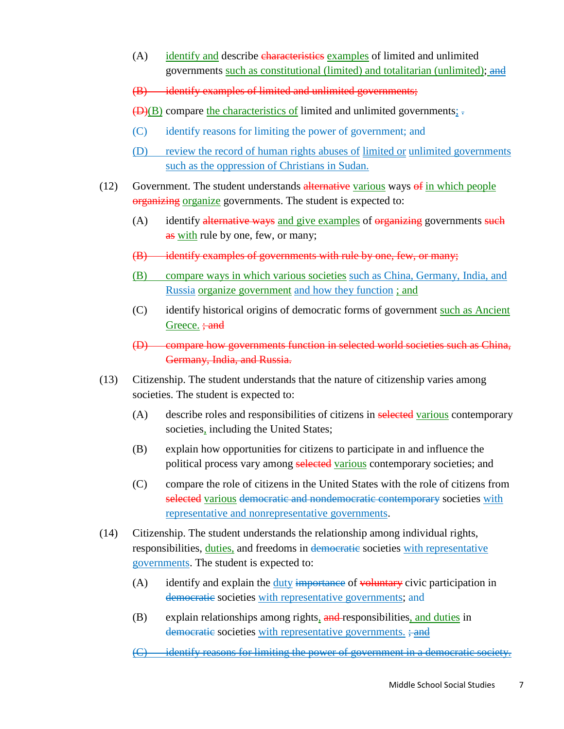- (A) identify and describe characteristics examples of limited and unlimited governments such as constitutional (limited) and totalitarian (unlimited); and
- (B) identify examples of limited and unlimited governments;
- $(D)(B)$  compare the characteristics of limited and unlimited governments;
- (C) identify reasons for limiting the power of government; and
- (D) review the record of human rights abuses of limited or unlimited governments such as the oppression of Christians in Sudan.
- (12) Government. The student understands alternative various ways of in which people organizing organize governments. The student is expected to:
	- (A) identify alternative ways and give examples of organizing governments such as <u>with</u> rule by one, few, or many;
	- (B) identify examples of governments with rule by one, few, or many;
	- (B) compare ways in which various societies such as China, Germany, India, and Russia organize government and how they function; and
	- (C) identify historical origins of democratic forms of government such as Ancient Greece. <del>; and</del>
	- (D) compare how governments function in selected world societies such as China, Germany, India, and Russia.
- (13) Citizenship. The student understands that the nature of citizenship varies among societies. The student is expected to:
	- (A) describe roles and responsibilities of citizens in selected various contemporary societies, including the United States;
	- (B) explain how opportunities for citizens to participate in and influence the political process vary among selected various contemporary societies; and
	- (C) compare the role of citizens in the United States with the role of citizens from selected various democratic and nondemocratic contemporary societies with representative and nonrepresentative governments .
- (14) Citizenship. The student understands the relationship among individual rights, responsibilities, *duties*, and freedoms in democratic societies with representative governments. The student is expected to:
	- (A) identify and explain the duty importance of voluntary civic participation in democratic societies with representative governments; and
	- (B) explain relationships among rights, and responsibilities, and duties in democratic societies with representative governments. ; and
	- (C) identify reasons for limiting the power of government in a democratic society.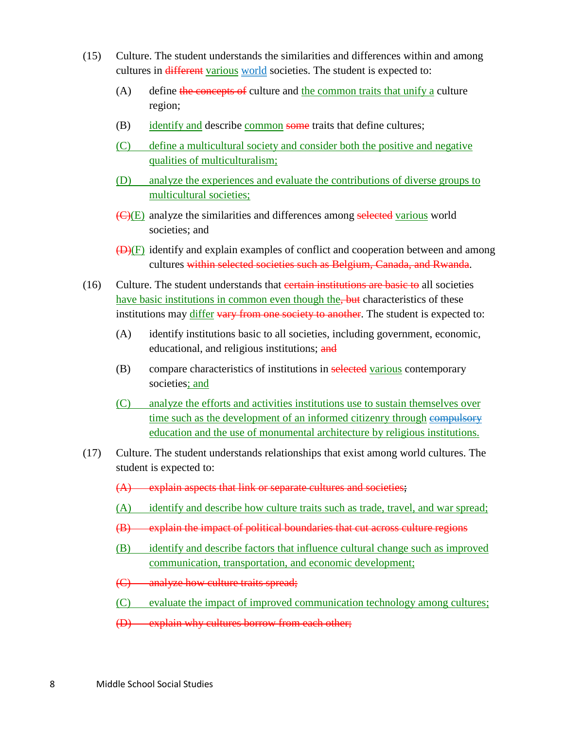- (15) Culture. The student understands the similarities and differences within and among cultures in different various world societies. The student is expected to:
	- (A) define the concepts of culture and the common traits that unify a culture region;
	- (B) identify and describe common some traits that define cultures;
	- (C) define a multicultural society and consider both the positive and negative qualities of multiculturalism;
	- (D) analyze the experiences and evaluate the contributions of diverse groups to multicultural societies;
	- (C)(E) analyze the similarities and differences among selected various world societies; and
	- (D)(F) identify and explain examples of conflict and cooperation between and among cultures within selected societies such as Belgium, Canada, and Rwanda.
- (16) Culture. The student understands that certain institutions are basic to all societies have basic institutions in common even though the, but characteristics of these institutions may *differ* vary from one society to another. The student is expected to:
	- (A) identify institutions basic to all societies, including government, economic, educational, and religious institutions; and
	- (B) compare characteristics of institutions in selected various contemporary societies; and
	- (C) analyze the efforts and activities institutions use to sustain themselves over time such as the development of an informed citizenry through eompulsory education and the use of monumental architecture by religious institutions.
- (17) Culture. The student understands relationships that exist among world cultures. The student is expected to:
	- (A) explain aspects that link or separate cultures and societies;
	- (A) identify and describe how culture traits such as trade, travel, and war spread;
	- (B) explain the impact of political boundaries that cut across culture regions
	- (B) identify and describe factors that influence cultural change such as improved communication, transportation, and economic development;
	- (C) analyze how culture traits spread;
	- (C) evaluate the impact of improved communication technology among cultures;
	- (D) explain why cultures borrow from each other;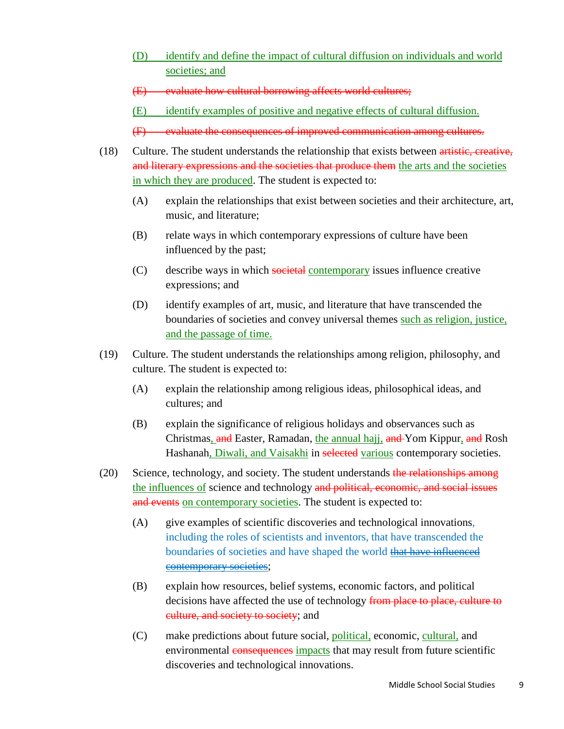- (D) identify and define the impact of cultural diffusion on individuals and world societies; and
- (E) evaluate how cultural borrowing affects world cultures;
- (E) identify examples of positive and negative effects of cultural diffusion.
- (F) evaluate the consequences of improved communication among cultures.
- (18) Culture. The student understands the relationship that exists between artistic, creative, and literary expressions and the societies that produce them the arts and the societies in which they are produced. The student is expected to:
	- (A) explain the relationships that exist between societies and their architecture, art, music, and literature;
	- (B) relate ways in which contemporary expressions of culture have been influenced by the past;
	- (C) describe ways in which societal contemporary issues influence creative expressions; and
	- (D) identify examples of art, music, and literature that have transcended the boundaries of societies and convey universal themes such as religion, justice, and the passage of time.
- (19) Culture. The student understands the relationships among religion, philosophy, and culture. The student is expected to:
	- (A) explain the relationship among religious ideas, philosophical ideas, and cultures; and
	- (B) explain the significance of religious holidays and observances such as Christmas, and Easter, Ramadan, the annual hajj, and Yom Kippur, and Rosh Hashanah, Diwali, and Vaisakhi in selected various contemporary societies.
- (20) Science, technology, and society. The student understands the relationships among the influences of science and technology and political, economic, and social issues and events on contemporary societies. The student is expected to:
	- (A) give examples of scientific discoveries and technological innovations, including the roles of scientists and inventors, that have transcended the boundaries of societies and have shaped the world that have influenced contemporary societies;
	- (B) explain how resources, belief systems, economic factors, and political decisions have affected the use of technology from place to place, culture to culture, and society to society; and
	- (C) make predictions about future social, political, economic, cultural, and environmental consequences impacts that may result from future scientific discoveries and technological innovations.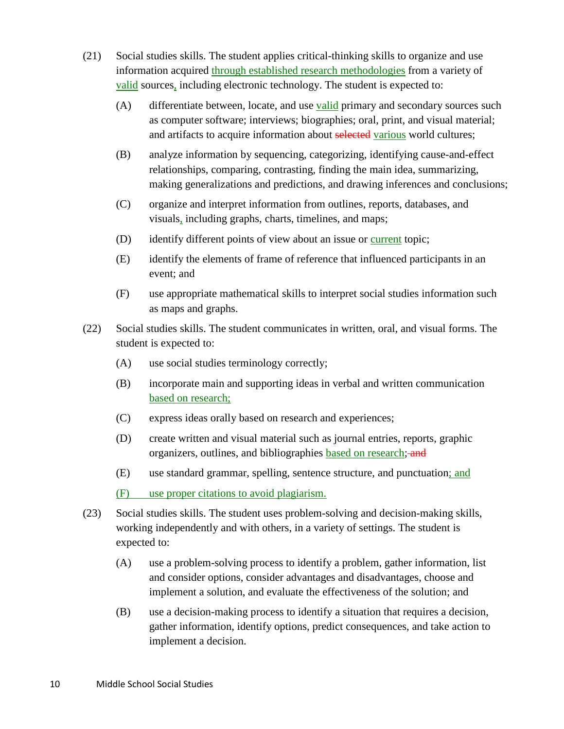- (21) Social studies skills. The student applies critical-thinking skills to organize and use information acquired through established research methodologies from a variety of valid sources, including electronic technology. The student is expected to:
	- (A) differentiate between, locate, and use valid primary and secondary sources such as computer software; interviews; biographies; oral, print, and visual material; and artifacts to acquire information about selected various world cultures;
	- (B) analyze information by sequencing, categorizing, identifying cause-and-effect relationships, comparing, contrasting, finding the main idea, summarizing, making generalizations and predictions, and drawing inferences and conclusions;
	- (C) organize and interpret information from outlines, reports, databases, and visuals, including graphs, charts, timelines, and maps;
	- (D) identify different points of view about an issue or current topic;
	- (E) identify the elements of frame of reference that influenced participants in an event; and
	- (F) use appropriate mathematical skills to interpret social studies information such as maps and graphs.
- (22) Social studies skills. The student communicates in written, oral, and visual forms. The student is expected to:
	- (A) use social studies terminology correctly;
	- (B) incorporate main and supporting ideas in verbal and written communication based on research;
	- (C) express ideas orally based on research and experiences;
	- (D) create written and visual material such as journal entries, reports, graphic organizers, outlines, and bibliographies based on research; and
	- (E) use standard grammar, spelling, sentence structure, and punctuation; and
	- (F) use proper citations to avoid plagiarism.
- (23) Social studies skills. The student uses problem-solving and decision-making skills, working independently and with others, in a variety of settings. The student is expected to:
	- (A) use a problem-solving process to identify a problem, gather information, list and consider options, consider advantages and disadvantages, choose and implement a solution, and evaluate the effectiveness of the solution; and
	- (B) use a decision-making process to identify a situation that requires a decision, gather information, identify options, predict consequences, and take action to implement a decision.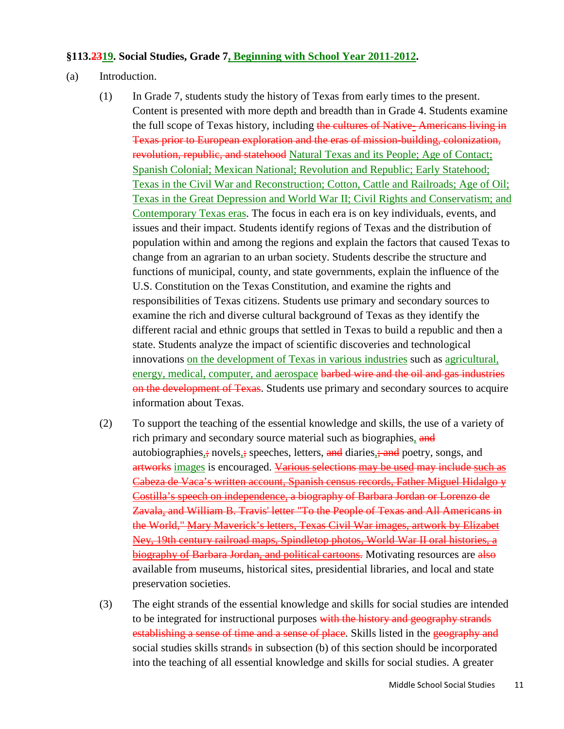#### **§113.2319. Social Studies, Grade 7, Beginning with School Year 2011-2012.**

- (a) Introduction.
	- (1) In Grade 7, students study the history of Texas from early times to the present. Content is presented with more depth and breadth than in Grade 4. Students examine the full scope of Texas history, including the cultures of Native-Americans living in Texas prior to European exploration and the eras of mission-building, colonization, revolution, republic, and statehood Natural Texas and its People; Age of Contact; Spanish Colonial; Mexican National; Revolution and Republic; Early Statehood; Texas in the Civil War and Reconstruction; Cotton, Cattle and Railroads; Age of Oil; Texas in the Great Depression and World War II; Civil Rights and Conservatism; and Contemporary Texas eras. The focus in each era is on key individuals, events, and issues and their impact. Students identify regions of Texas and the distribution of population within and among the regions and explain the factors that caused Texas to change from an agrarian to an urban society. Students describe the structure and functions of municipal, county, and state governments, explain the influence of the U.S. Constitution on the Texas Constitution, and examine the rights and responsibilities of Texas citizens. Students use primary and secondary sources to examine the rich and diverse cultural background of Texas as they identify the different racial and ethnic groups that settled in Texas to build a republic and then a state. Students analyze the impact of scientific discoveries and technological innovations on the development of Texas in various industries such as agricultural, energy, medical, computer, and aerospace barbed wire and the oil and gas industries on the development of Texas. Students use primary and secondary sources to acquire information about Texas.
	- (2) To support the teaching of the essential knowledge and skills, the use of a variety of rich primary and secondary source material such as biographies, and autobiographies,; novels,; speeches, letters, and diaries, and poetry, songs, and artworks images is encouraged. Various selections may be used may include such as Cabeza de Vaca's written account, Spanish census records, Father Miguel Hidalgo y Costilla's speech on independence, a biography of Barbara Jordan or Lorenzo de Zavala, and William B. Travis' letter "To the People of Texas and All Americans in the World," Mary Maverick's letters, Texas Civil War images, artwork by Elizabet Ney, 19th century railroad maps, Spindletop photos, World War II oral histories, a biography of Barbara Jordan, and political cartoons. Motivating resources are also available from museums, historical sites, presidential libraries, and local and state preservation societies.
	- (3) The eight strands of the essential knowledge and skills for social studies are intended to be integrated for instructional purposes with the history and geography strands establishing a sense of time and a sense of place. Skills listed in the geography and social studies skills strands in subsection (b) of this section should be incorporated into the teaching of all essential knowledge and skills for social studies. A greater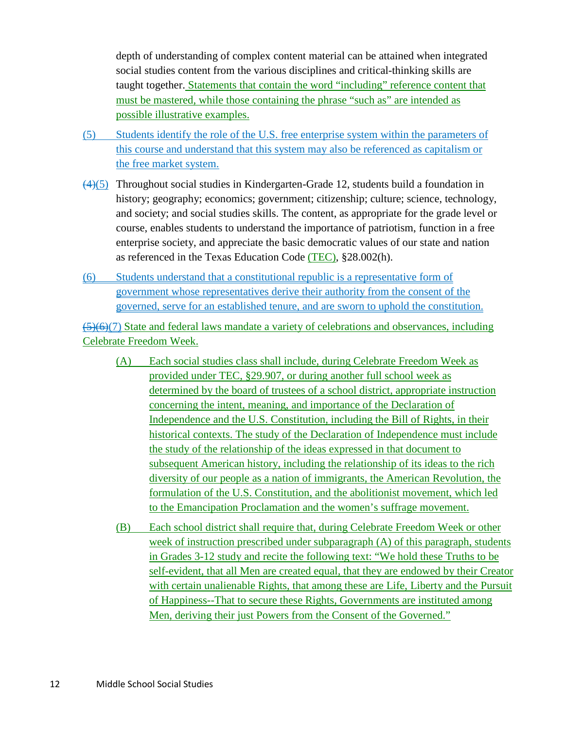depth of understanding of complex content material can be attained when integrated social studies content from the various disciplines and critical-thinking skills are taught together. Statements that contain the word "including" reference content that must be mastered, while those containing the phrase "such as" are intended as possible illustrative examples.

- (5) Students identify the role of the U.S. free enterprise system within the parameters of this course and understand that this system may also be referenced as capitalism or the free market system.
- $(4)(5)$  Throughout social studies in Kindergarten-Grade 12, students build a foundation in history; geography; economics; government; citizenship; culture; science, technology, and society; and social studies skills. The content, as appropriate for the grade level or course, enables students to understand the importance of patriotism, function in a free enterprise society, and appreciate the basic democratic values of our state and nation as referenced in the Texas Education Code (TEC), §28.002(h).
- (6) Students understand that a constitutional republic is a representative form of government whose representatives derive their authority from the consent of the governed, serve for an established tenure, and are sworn to uphold the constitution.

(5)(6)(7) State and federal laws mandate a variety of celebrations and observances, including Celebrate Freedom Week.

- (A) Each social studies class shall include, during Celebrate Freedom Week as provided under TEC, §29.907, or during another full school week as determined by the board of trustees of a school district, appropriate instruction concerning the intent, meaning, and importance of the Declaration of Independence and the U.S. Constitution, including the Bill of Rights, in their historical contexts. The study of the Declaration of Independence must include the study of the relationship of the ideas expressed in that document to subsequent American history, including the relationship of its ideas to the rich diversity of our people as a nation of immigrants, the American Revolution, the formulation of the U.S. Constitution, and the abolitionist movement, which led to the Emancipation Proclamation and the women's suffrage movement.
- (B) Each school district shall require that, during Celebrate Freedom Week or other week of instruction prescribed under subparagraph (A) of this paragraph, students in Grades 3-12 study and recite the following text: "We hold these Truths to be self-evident, that all Men are created equal, that they are endowed by their Creator with certain unalienable Rights, that among these are Life, Liberty and the Pursuit of Happiness--That to secure these Rights, Governments are instituted among Men, deriving their just Powers from the Consent of the Governed."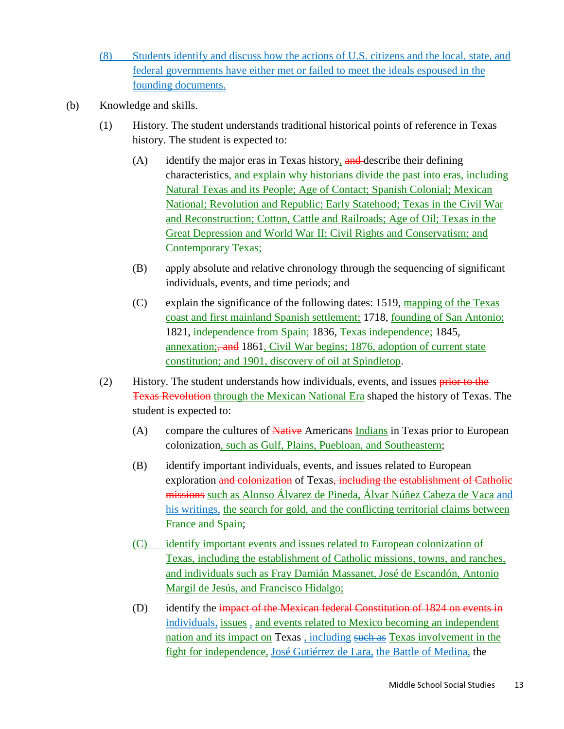- (8) Students identify and discuss how the actions of U.S. citizens and the local, state, and federal governments have either met or failed to meet the ideals espoused in the founding documents.
- (b) Knowledge and skills.
	- (1) History. The student understands traditional historical points of reference in Texas history. The student is expected to:
		- (A) identify the major eras in Texas history,  $\frac{and}{in}$  describe their defining characteristics, and explain why historians divide the past into eras, including Natural Texas and its People; Age of Contact; Spanish Colonial; Mexican National; Revolution and Republic; Early Statehood; Texas in the Civil War and Reconstruction; Cotton, Cattle and Railroads; Age of Oil; Texas in the Great Depression and World War II; Civil Rights and Conservatism; and Contemporary Texas;
		- (B) apply absolute and relative chronology through the sequencing of significant individuals, events, and time periods; and
		- (C) explain the significance of the following dates: 1519, mapping of the Texas coast and first mainland Spanish settlement; 1718, founding of San Antonio; 1821, independence from Spain; 1836, Texas independence; 1845, annexation; and 1861, Civil War begins; 1876, adoption of current state constitution; and 1901, discovery of oil at Spindletop.
	- (2) History. The student understands how individuals, events, and issues prior to the Texas Revolution through the Mexican National Era shaped the history of Texas. The student is expected to:
		- (A) compare the cultures of Native Americans Indians in Texas prior to European colonization, such as Gulf, Plains, Puebloan, and Southeastern;
		- (B) identify important individuals, events, and issues related to European exploration and colonization of Texas, including the establishment of Catholic missions such as Alonso Álvarez de Pineda, Álvar Núñez Cabeza de Vaca and his writings, the search for gold, and the conflicting territorial claims between France and Spain;
		- (C) identify important events and issues related to European colonization of Texas, including the establishment of Catholic missions, towns, and ranches, and individuals such as Fray Damián Massanet, José de Escandón, Antonio Margil de Jesús, and Francisco Hidalgo;
		- (D) identify the impact of the Mexican federal Constitution of 1824 on events in individuals, issues , and events related to Mexico becoming an independent nation and its impact on Texas , including such as Texas involvement in the fight for independence, José Gutiérrez de Lara, the Battle of Medina, the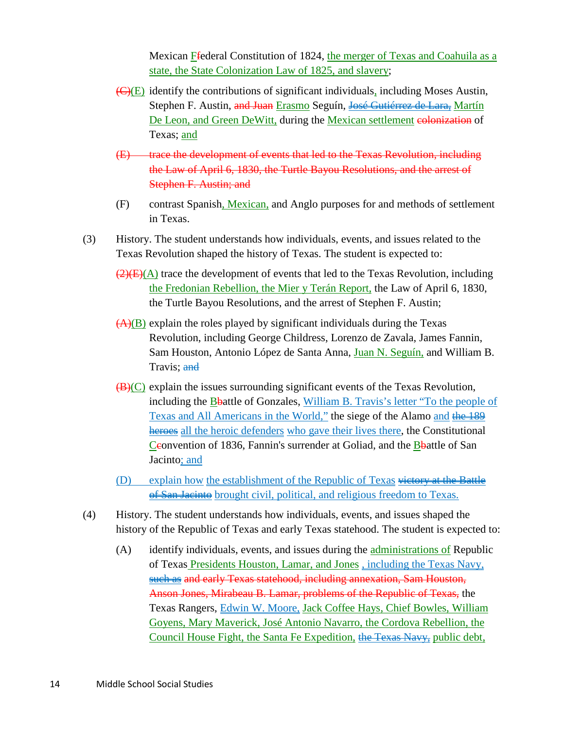Mexican Ffederal Constitution of 1824, the merger of Texas and Coahuila as a state, the State Colonization Law of 1825, and slavery;

- $\overline{(C)(E)}$  identify the contributions of significant individuals, including Moses Austin, Stephen F. Austin, and Juan Erasmo Seguín, José Gutiérrez de Lara, Martín De Leon, and Green DeWitt, during the Mexican settlement colonization of Texas; and
- (E) trace the development of events that led to the Texas Revolution, including the Law of April 6, 1830, the Turtle Bayou Resolutions, and the arrest of Stephen F. Austin; and
- (F) contrast Spanish, Mexican, and Anglo purposes for and methods of settlement in Texas.
- (3) History. The student understands how individuals, events, and issues related to the Texas Revolution shaped the history of Texas. The student is expected to:
	- $\left(\frac{2}{\sqrt{E}}\right)$ (A) trace the development of events that led to the Texas Revolution, including the Fredonian Rebellion, the Mier y Terán Report, the Law of April 6, 1830, the Turtle Bayou Resolutions, and the arrest of Stephen F. Austin;
	- $(A)(B)$  explain the roles played by significant individuals during the Texas Revolution, including George Childress, Lorenzo de Zavala, James Fannin, Sam Houston, Antonio López de Santa Anna, Juan N. Seguín, and William B. Travis; and
	- $(B)(C)$  explain the issues surrounding significant events of the Texas Revolution, including the Bbattle of Gonzales, William B. Travis's letter "To the people of Texas and All Americans in the World," the siege of the Alamo and the 189 heroes all the heroic defenders who gave their lives there, the Constitutional Ceonvention of 1836, Fannin's surrender at Goliad, and the Bbattle of San Jacinto; and
	- (D) explain how the establishment of the Republic of Texas victory at the Battle of San Jacinto brought civil, political, and religious freedom to Texas.
- (4) History. The student understands how individuals, events, and issues shaped the history of the Republic of Texas and early Texas statehood. The student is expected to:
	- (A) identify individuals, events, and issues during the administrations of Republic of Texas Presidents Houston, Lamar, and Jones , including the Texas Navy, such as and early Texas statehood, including annexation, Sam Houston, Anson Jones, Mirabeau B. Lamar, problems of the Republic of Texas, the Texas Rangers, Edwin W. Moore, Jack Coffee Hays, Chief Bowles, William Goyens, Mary Maverick, José Antonio Navarro, the Cordova Rebellion, the Council House Fight, the Santa Fe Expedition, the Texas Navy, public debt,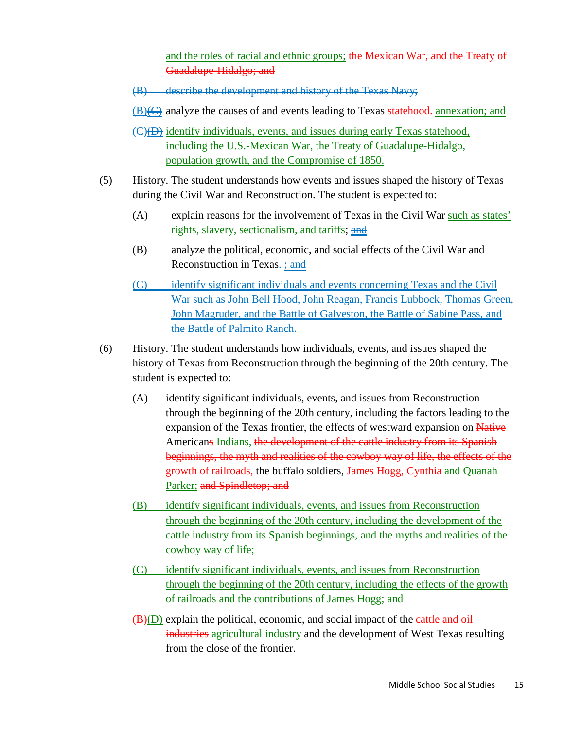and the roles of racial and ethnic groups; the Mexican War, and the Treaty of Guadalupe-Hidalgo; and

- (B) describe the development and history of the Texas Navy;
- $(B)$ ( $\ominus$ ) analyze the causes of and events leading to Texas statehood. annexation; and
- (C)(D) identify individuals, events, and issues during early Texas statehood, including the U.S.-Mexican War, the Treaty of Guadalupe-Hidalgo, population growth, and the Compromise of 1850.
- (5) History. The student understands how events and issues shaped the history of Texas during the Civil War and Reconstruction. The student is expected to:
	- (A) explain reasons for the involvement of Texas in the Civil War such as states' rights, slavery, sectionalism, and tariffs; and
	- (B) analyze the political, economic, and social effects of the Civil War and Reconstruction in Texas $\frac{1}{2}$ ; and
	- (C) identify significant individuals and events concerning Texas and the Civil War such as John Bell Hood, John Reagan, Francis Lubbock, Thomas Green, John Magruder, and the Battle of Galveston, the Battle of Sabine Pass, and the Battle of Palmito Ranch.
- (6) History. The student understands how individuals, events, and issues shaped the history of Texas from Reconstruction through the beginning of the 20th century. The student is expected to:
	- (A) identify significant individuals, events, and issues from Reconstruction through the beginning of the 20th century, including the factors leading to the expansion of the Texas frontier, the effects of westward expansion on Native Americans Indians, the development of the cattle industry from its Spanish beginnings, the myth and realities of the cowboy way of life, the effects of the growth of railroads, the buffalo soldiers, James Hogg, Cynthia and Quanah Parker; and Spindletop; and
	- (B) identify significant individuals, events, and issues from Reconstruction through the beginning of the 20th century, including the development of the cattle industry from its Spanish beginnings, and the myths and realities of the cowboy way of life;
	- (C) identify significant individuals, events, and issues from Reconstruction through the beginning of the 20th century, including the effects of the growth of railroads and the contributions of James Hogg; and
	- $(\overline{B})(D)$  explain the political, economic, and social impact of the eattle and oil industries agricultural industry and the development of West Texas resulting from the close of the frontier.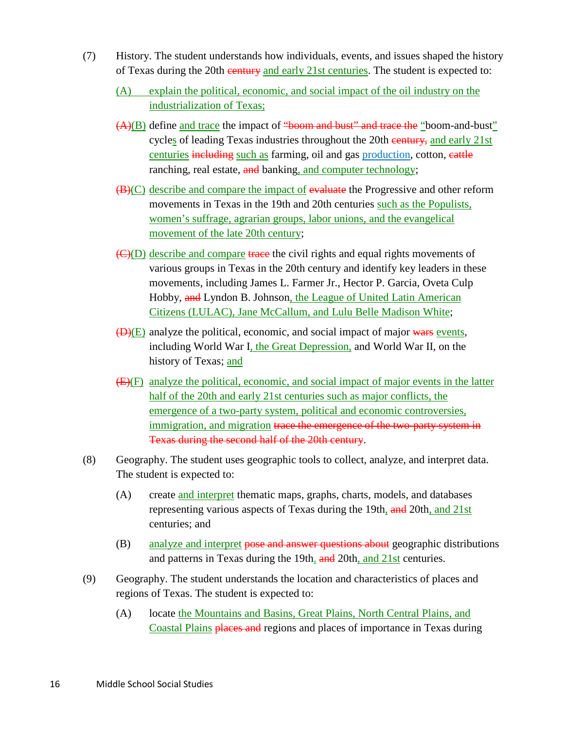- (7) History. The student understands how individuals, events, and issues shaped the history of Texas during the 20th century and early 21st centuries. The student is expected to:
	- (A) explain the political, economic, and social impact of the oil industry on the industrialization of Texas;
	- (A)(B) define and trace the impact of "boom and bust" and trace the "boom-and-bust" cycles of leading Texas industries throughout the 20th century, and early 21st centuries including such as farming, oil and gas production, cotton, eattle ranching, real estate, and banking, and computer technology;
	- (B)(C) describe and compare the impact of evaluate the Progressive and other reform movements in Texas in the 19th and 20th centuries such as the Populists, women's suffrage, agrarian groups, labor unions, and the evangelical movement of the late 20th century;
	- $\left(\frac{C}{D}\right)$  describe and compare trace the civil rights and equal rights movements of various groups in Texas in the 20th century and identify key leaders in these movements, including James L. Farmer Jr., Hector P. Garcia, Oveta Culp Hobby, and Lyndon B. Johnson, the League of United Latin American Citizens (LULAC), Jane McCallum, and Lulu Belle Madison White;
	- $(D)(E)$  analyze the political, economic, and social impact of major wars events, including World War I, the Great Depression, and World War II, on the history of Texas; and
	- $(E)(F)$  analyze the political, economic, and social impact of major events in the latter half of the 20th and early 21st centuries such as major conflicts, the emergence of a two-party system, political and economic controversies, immigration, and migration trace the emergence of the two-party system in Texas during the second half of the 20th century.
- (8) Geography. The student uses geographic tools to collect, analyze, and interpret data. The student is expected to:
	- (A) create and interpret thematic maps, graphs, charts, models, and databases representing various aspects of Texas during the 19th, and 20th, and 21st centuries; and
	- (B) analyze and interpret pose and answer questions about geographic distributions and patterns in Texas during the 19th, and 20th, and 21st centuries.
- (9) Geography. The student understands the location and characteristics of places and regions of Texas. The student is expected to:
	- (A) locate the Mountains and Basins, Great Plains, North Central Plains, and Coastal Plains places and regions and places of importance in Texas during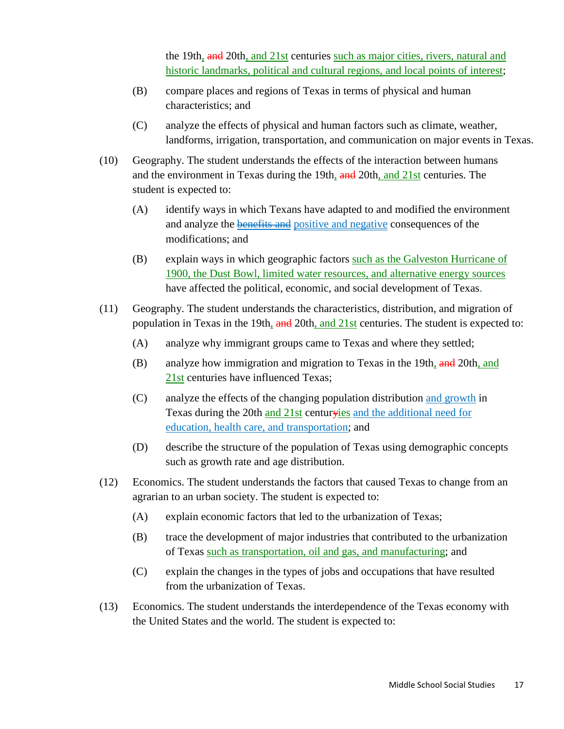the 19th, and 20th, and 21st centuries such as major cities, rivers, natural and historic landmarks, political and cultural regions, and local points of interest;

- (B) compare places and regions of Texas in terms of physical and human characteristics; and
- (C) analyze the effects of physical and human factors such as climate, weather, landforms, irrigation, transportation, and communication on major events in Texas.
- (10) Geography. The student understands the effects of the interaction between humans and the environment in Texas during the 19th, and 20th, and 21st centuries. The student is expected to:
	- (A) identify ways in which Texans have adapted to and modified the environment and analyze the **benefits and** positive and negative consequences of the modifications; and
	- (B) explain ways in which geographic factors such as the Galveston Hurricane of 1900, the Dust Bowl, limited water resources, and alternative energy sources have affected the political, economic, and social development of Texas.
- (11) Geography. The student understands the characteristics, distribution, and migration of population in Texas in the 19th, and 20th, and 21st centuries. The student is expected to:
	- (A) analyze why immigrant groups came to Texas and where they settled;
	- (B) analyze how immigration and migration to Texas in the 19th, and 20th, and 21st centuries have influenced Texas;
	- (C) analyze the effects of the changing population distribution and growth in Texas during the 20th and 21st centuryies and the additional need for education, health care, and transportation; and
	- (D) describe the structure of the population of Texas using demographic concepts such as growth rate and age distribution.
- (12) Economics. The student understands the factors that caused Texas to change from an agrarian to an urban society. The student is expected to:
	- (A) explain economic factors that led to the urbanization of Texas;
	- (B) trace the development of major industries that contributed to the urbanization of Texas such as transportation, oil and gas, and manufacturing; and
	- (C) explain the changes in the types of jobs and occupations that have resulted from the urbanization of Texas.
- (13) Economics. The student understands the interdependence of the Texas economy with the United States and the world. The student is expected to: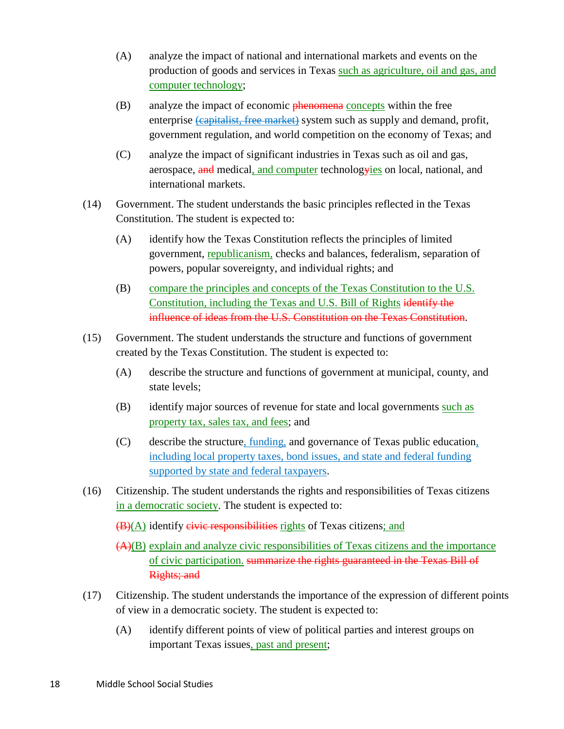- (A) analyze the impact of national and international markets and events on the production of goods and services in Texas such as agriculture, oil and gas, and computer technology;
- (B) analyze the impact of economic phenomena concepts within the free enterprise (capitalist, free market) system such as supply and demand, profit, government regulation, and world competition on the economy of Texas; and
- (C) analyze the impact of significant industries in Texas such as oil and gas, aerospace, and medical, and computer technologyies on local, national, and international markets.
- (14) Government. The student understands the basic principles reflected in the Texas Constitution. The student is expected to:
	- (A) identify how the Texas Constitution reflects the principles of limited government, republicanism, checks and balances, federalism, separation of powers, popular sovereignty, and individual rights; and
	- (B) compare the principles and concepts of the Texas Constitution to the U.S. Constitution, including the Texas and U.S. Bill of Rights identify the influence of ideas from the U.S. Constitution on the Texas Constitution.
- (15) Government. The student understands the structure and functions of government created by the Texas Constitution. The student is expected to:
	- (A) describe the structure and functions of government at municipal, county, and state levels;
	- (B) identify major sources of revenue for state and local governments such as property tax, sales tax, and fees; and
	- (C) describe the structure, funding, and governance of Texas public education, including local property taxes, bond issues, and state and federal funding supported by state and federal taxpayers.
- (16) Citizenship. The student understands the rights and responsibilities of Texas citizens in a democratic society. The student is expected to:

 $(\mathbf{B})(\mathbf{A})$  identify civic responsibilities rights of Texas citizens; and

(A)(B) explain and analyze civic responsibilities of Texas citizens and the importance of civic participation. summarize the rights guaranteed in the Texas Bill of Rights; and

- (17) Citizenship. The student understands the importance of the expression of different points of view in a democratic society. The student is expected to:
	- (A) identify different points of view of political parties and interest groups on important Texas issues, past and present;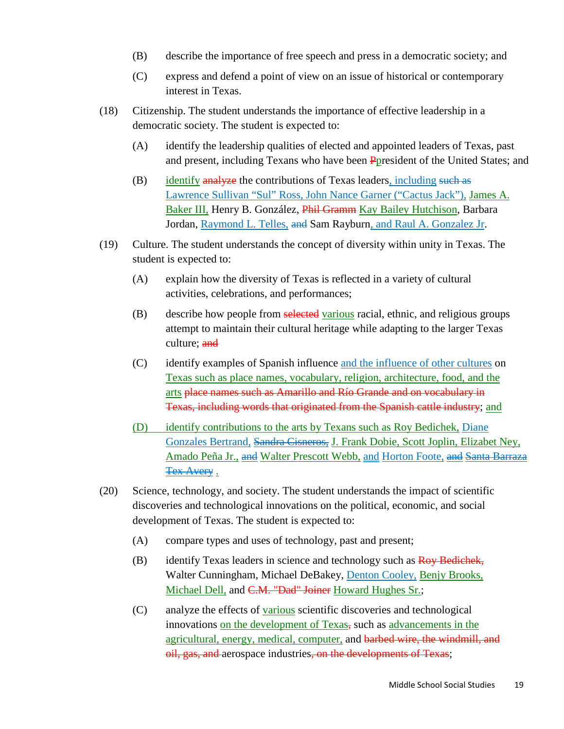- (B) describe the importance of free speech and press in a democratic society; and
- (C) express and defend a point of view on an issue of historical or contemporary interest in Texas.
- (18) Citizenship. The student understands the importance of effective leadership in a democratic society. The student is expected to:
	- (A) identify the leadership qualities of elected and appointed leaders of Texas, past and present, including Texans who have been Ppresident of the United States; and
	- $(B)$  identify analyze the contributions of Texas leaders, including such as Lawrence Sullivan "Sul" Ross, John Nance Garner ("Cactus Jack"), James A. Baker III, Henry B. González, Phil Gramm Kay Bailey Hutchison, Barbara Jordan, Raymond L. Telles, and Sam Rayburn, and Raul A. Gonzalez Jr.
- (19) Culture. The student understands the concept of diversity within unity in Texas. The student is expected to:
	- (A) explain how the diversity of Texas is reflected in a variety of cultural activities, celebrations, and performances;
	- (B) describe how people from selected various racial, ethnic, and religious groups attempt to maintain their cultural heritage while adapting to the larger Texas culture; and
	- (C) identify examples of Spanish influence and the influence of other cultures on Texas such as place names, vocabulary, religion, architecture, food, and the arts place names such as Amarillo and Río Grande and on vocabulary in Texas, including words that originated from the Spanish cattle industry; and
	- (D) identify contributions to the arts by Texans such as Roy Bedichek, Diane Gonzales Bertrand, Sandra Cisneros, J. Frank Dobie, Scott Joplin, Elizabet Ney, Amado Peña Jr., and Walter Prescott Webb, and Horton Foote, and Santa Barraza **Tex Avery.**
- (20) Science, technology, and society. The student understands the impact of scientific discoveries and technological innovations on the political, economic, and social development of Texas. The student is expected to:
	- (A) compare types and uses of technology, past and present;
	- (B) identify Texas leaders in science and technology such as Roy Bedichek, Walter Cunningham, Michael DeBakey, Denton Cooley, Benjy Brooks, Michael Dell, and C.M. "Dad" Joiner Howard Hughes Sr.;
	- (C) analyze the effects of various scientific discoveries and technological innovations on the development of Texas, such as advancements in the agricultural, energy, medical, computer, and barbed wire, the windmill, and oil, gas, and aerospace industries, on the developments of Texas;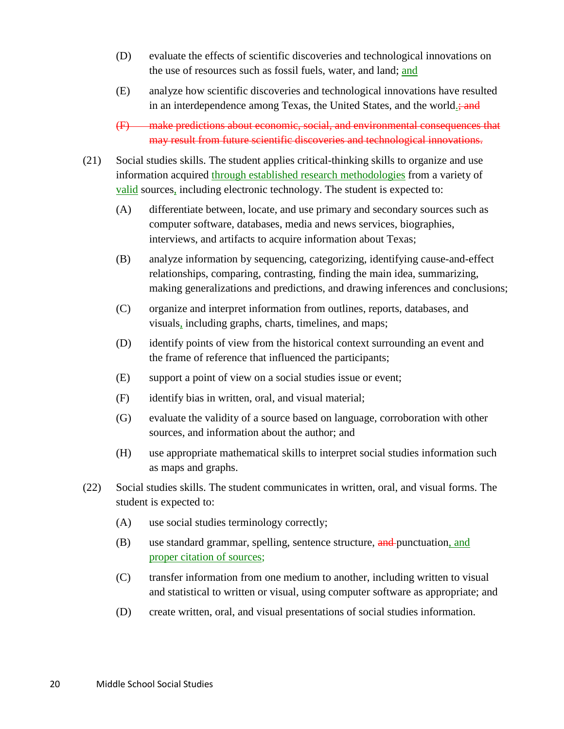- (D) evaluate the effects of scientific discoveries and technological innovations on the use of resources such as fossil fuels, water, and land; and
- (E) analyze how scientific discoveries and technological innovations have resulted in an interdependence among Texas, the United States, and the world.; and

(F) make predictions about economic, social, and environmental consequences that may result from future scientific discoveries and technological innovations.

- (21) Social studies skills. The student applies critical-thinking skills to organize and use information acquired through established research methodologies from a variety of valid sources, including electronic technology. The student is expected to:
	- (A) differentiate between, locate, and use primary and secondary sources such as computer software, databases, media and news services, biographies, interviews, and artifacts to acquire information about Texas;
	- (B) analyze information by sequencing, categorizing, identifying cause-and-effect relationships, comparing, contrasting, finding the main idea, summarizing, making generalizations and predictions, and drawing inferences and conclusions;
	- (C) organize and interpret information from outlines, reports, databases, and visuals, including graphs, charts, timelines, and maps;
	- (D) identify points of view from the historical context surrounding an event and the frame of reference that influenced the participants;
	- (E) support a point of view on a social studies issue or event;
	- (F) identify bias in written, oral, and visual material;
	- (G) evaluate the validity of a source based on language, corroboration with other sources, and information about the author; and
	- (H) use appropriate mathematical skills to interpret social studies information such as maps and graphs.
- (22) Social studies skills. The student communicates in written, oral, and visual forms. The student is expected to:
	- (A) use social studies terminology correctly;
	- (B) use standard grammar, spelling, sentence structure, and punctuation, and proper citation of sources;
	- (C) transfer information from one medium to another, including written to visual and statistical to written or visual, using computer software as appropriate; and
	- (D) create written, oral, and visual presentations of social studies information.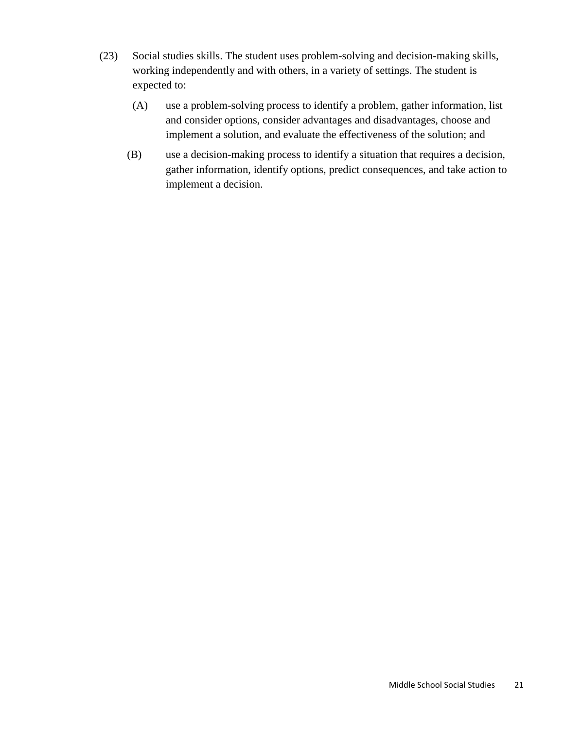- (23) Social studies skills. The student uses problem-solving and decision-making skills, working independently and with others, in a variety of settings. The student is expected to:
	- (A) use a problem-solving process to identify a problem, gather information, list and consider options, consider advantages and disadvantages, choose and implement a solution, and evaluate the effectiveness of the solution; and
	- (B) use a decision-making process to identify a situation that requires a decision, gather information, identify options, predict consequences, and take action to implement a decision.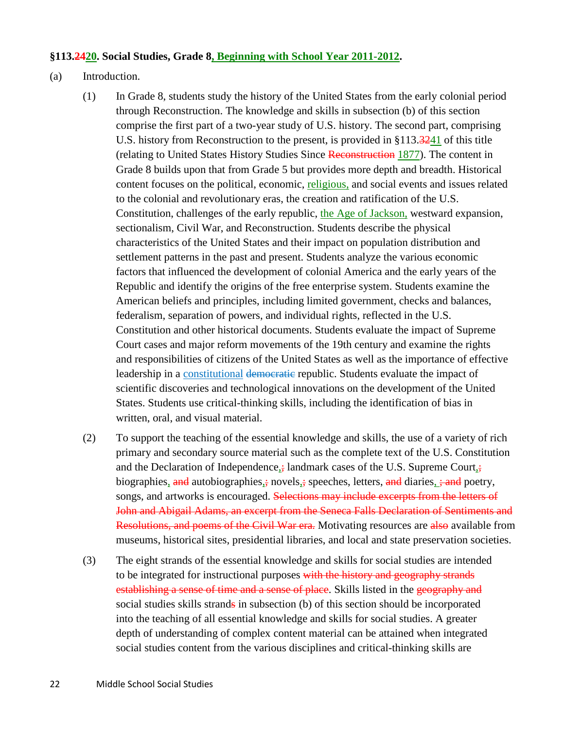#### **§113.2420. Social Studies, Grade 8, Beginning with School Year 2011-2012.**

#### (a) Introduction.

- (1) In Grade 8, students study the history of the United States from the early colonial period through Reconstruction. The knowledge and skills in subsection (b) of this section comprise the first part of a two-year study of U.S. history. The second part, comprising U.S. history from Reconstruction to the present, is provided in §113.3241 of this title (relating to United States History Studies Since Reconstruction 1877). The content in Grade 8 builds upon that from Grade 5 but provides more depth and breadth. Historical content focuses on the political, economic, religious, and social events and issues related to the colonial and revolutionary eras, the creation and ratification of the U.S. Constitution, challenges of the early republic, the Age of Jackson, westward expansion, sectionalism, Civil War, and Reconstruction. Students describe the physical characteristics of the United States and their impact on population distribution and settlement patterns in the past and present. Students analyze the various economic factors that influenced the development of colonial America and the early years of the Republic and identify the origins of the free enterprise system. Students examine the American beliefs and principles, including limited government, checks and balances, federalism, separation of powers, and individual rights, reflected in the U.S. Constitution and other historical documents. Students evaluate the impact of Supreme Court cases and major reform movements of the 19th century and examine the rights and responsibilities of citizens of the United States as well as the importance of effective leadership in a constitutional democratic republic. Students evaluate the impact of scientific discoveries and technological innovations on the development of the United States. Students use critical-thinking skills, including the identification of bias in written, oral, and visual material.
- (2) To support the teaching of the essential knowledge and skills, the use of a variety of rich primary and secondary source material such as the complete text of the U.S. Constitution and the Declaration of Independence, $\frac{1}{2}$  landmark cases of the U.S. Supreme Court, biographies, and autobiographies,; novels,; speeches, letters, and diaries, ; and poetry, songs, and artworks is encouraged. Selections may include excerpts from the letters of John and Abigail Adams, an excerpt from the Seneca Falls Declaration of Sentiments and Resolutions, and poems of the Civil War era. Motivating resources are also available from museums, historical sites, presidential libraries, and local and state preservation societies.
- (3) The eight strands of the essential knowledge and skills for social studies are intended to be integrated for instructional purposes with the history and geography strands establishing a sense of time and a sense of place. Skills listed in the geography and social studies skills strands in subsection (b) of this section should be incorporated into the teaching of all essential knowledge and skills for social studies. A greater depth of understanding of complex content material can be attained when integrated social studies content from the various disciplines and critical-thinking skills are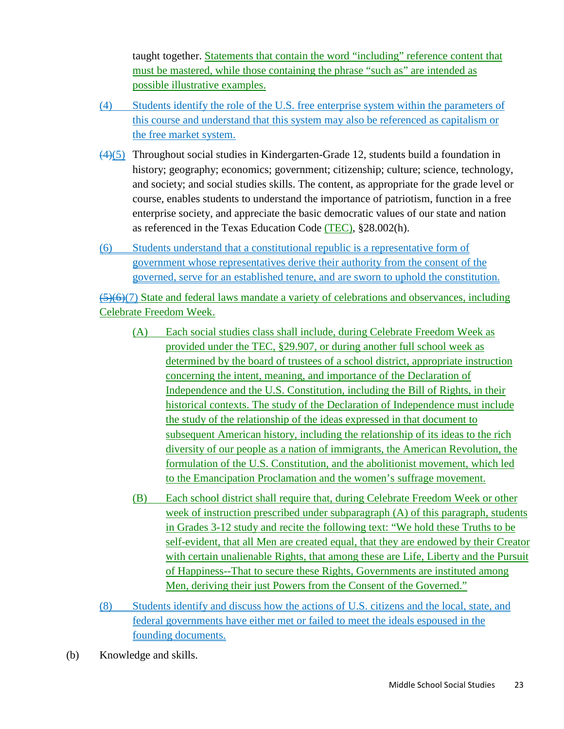taught together. Statements that contain the word "including" reference content that must be mastered, while those containing the phrase "such as" are intended as possible illustrative examples.

- (4) Students identify the role of the U.S. free enterprise system within the parameters of this course and understand that this system may also be referenced as capitalism or the free market system.
- $(4)(5)$  Throughout social studies in Kindergarten-Grade 12, students build a foundation in history; geography; economics; government; citizenship; culture; science, technology, and society; and social studies skills. The content, as appropriate for the grade level or course, enables students to understand the importance of patriotism, function in a free enterprise society, and appreciate the basic democratic values of our state and nation as referenced in the Texas Education Code (TEC), §28.002(h).
- (6) Students understand that a constitutional republic is a representative form of government whose representatives derive their authority from the consent of the governed, serve for an established tenure, and are sworn to uphold the constitution.

(5)(6)(7) State and federal laws mandate a variety of celebrations and observances, including Celebrate Freedom Week.

- (A) Each social studies class shall include, during Celebrate Freedom Week as provided under the TEC, §29.907, or during another full school week as determined by the board of trustees of a school district, appropriate instruction concerning the intent, meaning, and importance of the Declaration of Independence and the U.S. Constitution, including the Bill of Rights, in their historical contexts. The study of the Declaration of Independence must include the study of the relationship of the ideas expressed in that document to subsequent American history, including the relationship of its ideas to the rich diversity of our people as a nation of immigrants, the American Revolution, the formulation of the U.S. Constitution, and the abolitionist movement, which led to the Emancipation Proclamation and the women's suffrage movement.
- (B) Each school district shall require that, during Celebrate Freedom Week or other week of instruction prescribed under subparagraph (A) of this paragraph, students in Grades 3-12 study and recite the following text: "We hold these Truths to be self-evident, that all Men are created equal, that they are endowed by their Creator with certain unalienable Rights, that among these are Life, Liberty and the Pursuit of Happiness--That to secure these Rights, Governments are instituted among Men, deriving their just Powers from the Consent of the Governed."
- (8) Students identify and discuss how the actions of U.S. citizens and the local, state, and federal governments have either met or failed to meet the ideals espoused in the founding documents.
- (b) Knowledge and skills.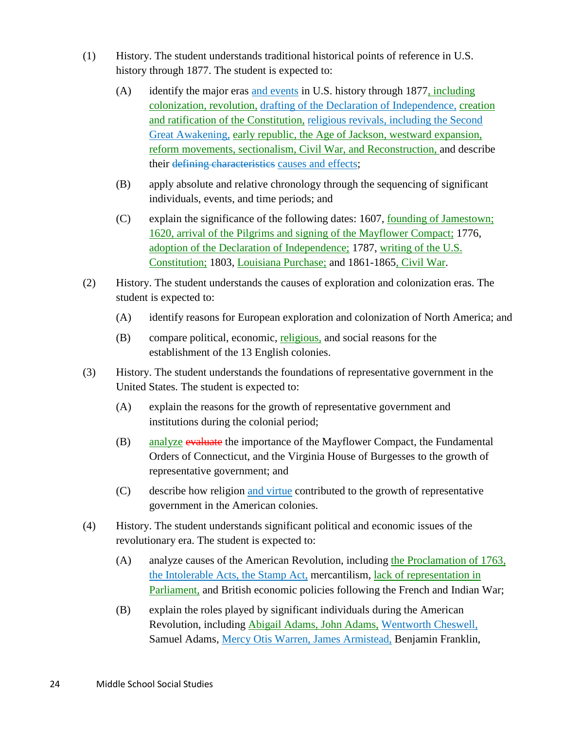- (1) History. The student understands traditional historical points of reference in U.S. history through 1877. The student is expected to:
	- (A) identify the major eras and events in U.S. history through 1877, including colonization, revolution, drafting of the Declaration of Independence, creation and ratification of the Constitution, religious revivals, including the Second Great Awakening, early republic, the Age of Jackson, westward expansion, reform movements, sectionalism, Civil War, and Reconstruction, and describe their defining characteristics causes and effects;
	- (B) apply absolute and relative chronology through the sequencing of significant individuals, events, and time periods; and
	- (C) explain the significance of the following dates: 1607, founding of Jamestown; 1620, arrival of the Pilgrims and signing of the Mayflower Compact; 1776, adoption of the Declaration of Independence; 1787, writing of the U.S. Constitution; 1803, Louisiana Purchase; and 1861-1865, Civil War.
- (2) History. The student understands the causes of exploration and colonization eras. The student is expected to:
	- (A) identify reasons for European exploration and colonization of North America; and
	- (B) compare political, economic, religious, and social reasons for the establishment of the 13 English colonies.
- (3) History. The student understands the foundations of representative government in the United States. The student is expected to:
	- (A) explain the reasons for the growth of representative government and institutions during the colonial period;
	- (B) analyze evaluate the importance of the Mayflower Compact, the Fundamental Orders of Connecticut, and the Virginia House of Burgesses to the growth of representative government; and
	- (C) describe how religion and virtue contributed to the growth of representative government in the American colonies.
- (4) History. The student understands significant political and economic issues of the revolutionary era. The student is expected to:
	- (A) analyze causes of the American Revolution, including the Proclamation of 1763, the Intolerable Acts, the Stamp Act, mercantilism, lack of representation in Parliament, and British economic policies following the French and Indian War;
	- (B) explain the roles played by significant individuals during the American Revolution, including Abigail Adams, John Adams, Wentworth Cheswell, Samuel Adams, Mercy Otis Warren, James Armistead, Benjamin Franklin,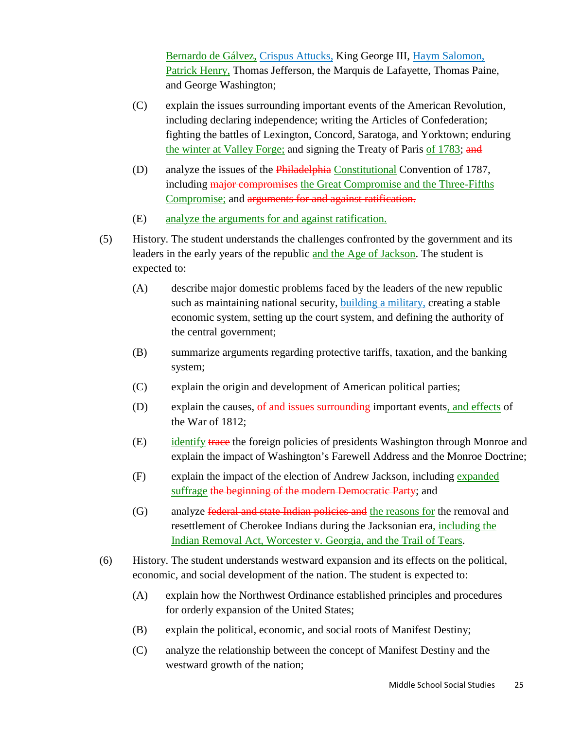Bernardo de Gálvez, Crispus Attucks, King George III, Haym Salomon, Patrick Henry, Thomas Jefferson, the Marquis de Lafayette, Thomas Paine, and George Washington;

- (C) explain the issues surrounding important events of the American Revolution, including declaring independence; writing the Articles of Confederation; fighting the battles of Lexington, Concord, Saratoga, and Yorktown; enduring the winter at Valley Forge; and signing the Treaty of Paris of 1783; and
- (D) analyze the issues of the Philadelphia Constitutional Convention of 1787, including major compromises the Great Compromise and the Three-Fifths Compromise; and arguments for and against ratification.
- (E) analyze the arguments for and against ratification.
- (5) History. The student understands the challenges confronted by the government and its leaders in the early years of the republic and the Age of Jackson. The student is expected to:
	- (A) describe major domestic problems faced by the leaders of the new republic such as maintaining national security, **building a military**, creating a stable economic system, setting up the court system, and defining the authority of the central government;
	- (B) summarize arguments regarding protective tariffs, taxation, and the banking system;
	- (C) explain the origin and development of American political parties;
	- (D) explain the causes, of and issues surrounding important events, and effects of the War of 1812;
	- (E) identify trace the foreign policies of presidents Washington through Monroe and explain the impact of Washington's Farewell Address and the Monroe Doctrine;
	- (F) explain the impact of the election of Andrew Jackson, including expanded suffrage the beginning of the modern Democratic Party; and
	- (G) analyze federal and state Indian policies and the reasons for the removal and resettlement of Cherokee Indians during the Jacksonian era, including the Indian Removal Act, Worcester v. Georgia, and the Trail of Tears.
- (6) History. The student understands westward expansion and its effects on the political, economic, and social development of the nation. The student is expected to:
	- (A) explain how the Northwest Ordinance established principles and procedures for orderly expansion of the United States;
	- (B) explain the political, economic, and social roots of Manifest Destiny;
	- (C) analyze the relationship between the concept of Manifest Destiny and the westward growth of the nation;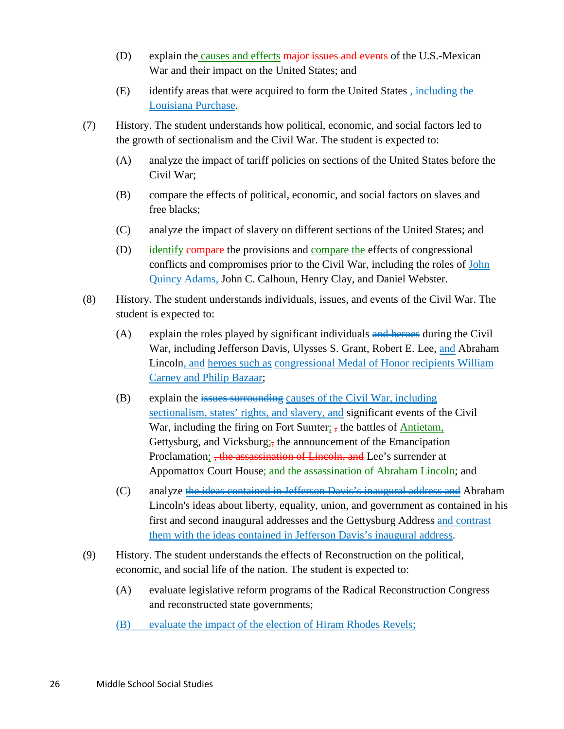- $(D)$  explain the causes and effects major issues and events of the U.S.-Mexican War and their impact on the United States; and
- (E) identify areas that were acquired to form the United States , including the Louisiana Purchase.
- (7) History. The student understands how political, economic, and social factors led to the growth of sectionalism and the Civil War. The student is expected to:
	- (A) analyze the impact of tariff policies on sections of the United States before the Civil War;
	- (B) compare the effects of political, economic, and social factors on slaves and free blacks;
	- (C) analyze the impact of slavery on different sections of the United States; and
	- (D) identify compare the provisions and compare the effects of congressional conflicts and compromises prior to the Civil War, including the roles of John Quincy Adams, John C. Calhoun, Henry Clay, and Daniel Webster.
- (8) History. The student understands individuals, issues, and events of the Civil War. The student is expected to:
	- $(A)$  explain the roles played by significant individuals and heroes during the Civil War, including Jefferson Davis, Ulysses S. Grant, Robert E. Lee, and Abraham Lincoln, and heroes such as congressional Medal of Honor recipients William Carney and Philip Bazaar;
	- (B) explain the  $i$  issues surrounding causes of the Civil War, including sectionalism, states' rights, and slavery, and significant events of the Civil War, including the firing on Fort Sumter;  $\frac{1}{2}$ , the battles of Antietam, Gettysburg, and Vicksburg; the announcement of the Emancipation Proclamation;  $\frac{1}{2}$  the assassination of Lincoln, and Lee's surrender at Appomattox Court House; and the assassination of Abraham Lincoln; and
	- (C) analyze the ideas contained in Jefferson Davis's inaugural address and Abraham Lincoln's ideas about liberty, equality, union, and government as contained in his first and second inaugural addresses and the Gettysburg Address and contrast them with the ideas contained in Jefferson Davis's inaugural address.
- (9) History. The student understands the effects of Reconstruction on the political, economic, and social life of the nation. The student is expected to:
	- (A) evaluate legislative reform programs of the Radical Reconstruction Congress and reconstructed state governments;
	- (B) evaluate the impact of the election of Hiram Rhodes Revels;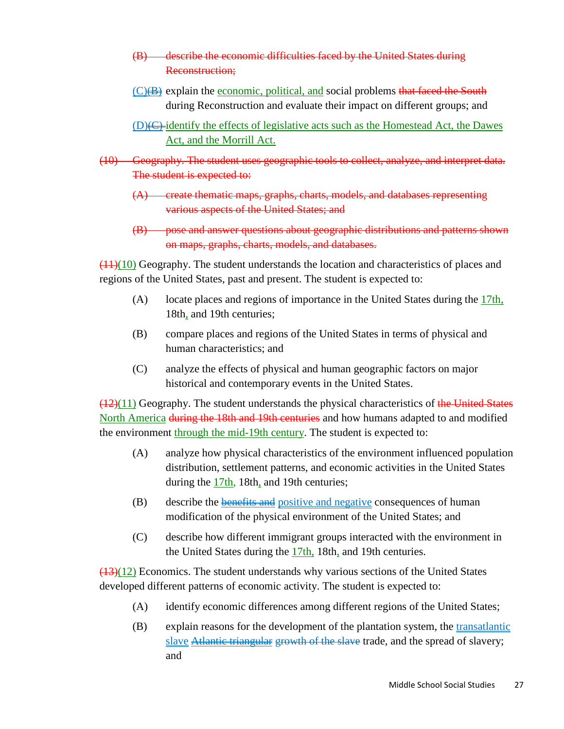- (B) describe the economic difficulties faced by the United States during Reconstruction;
- (C)(B) explain the economic, political, and social problems that faced the South during Reconstruction and evaluate their impact on different groups; and
- $(D)$ ( $C$ )-identify the effects of legislative acts such as the Homestead Act, the Dawes Act, and the Morrill Act.
- (10) Geography. The student uses geographic tools to collect, analyze, and interpret data. The student is expected to:
	- (A) create thematic maps, graphs, charts, models, and databases representing various aspects of the United States; and
	- (B) pose and answer questions about geographic distributions and patterns shown on maps, graphs, charts, models, and databases.

 $(11)(10)$  Geography. The student understands the location and characteristics of places and regions of the United States, past and present. The student is expected to:

- (A) locate places and regions of importance in the United States during the 17th, 18th, and 19th centuries;
- (B) compare places and regions of the United States in terms of physical and human characteristics; and
- (C) analyze the effects of physical and human geographic factors on major historical and contemporary events in the United States.

 $(12)(11)$  Geography. The student understands the physical characteristics of the United States North America during the 18th and 19th centuries and how humans adapted to and modified the environment through the mid-19th century. The student is expected to:

- (A) analyze how physical characteristics of the environment influenced population distribution, settlement patterns, and economic activities in the United States during the 17th, 18th, and 19th centuries;
- (B) describe the benefits and positive and negative consequences of human modification of the physical environment of the United States; and
- (C) describe how different immigrant groups interacted with the environment in the United States during the 17th, 18th, and 19th centuries.

 $(13)(12)$  Economics. The student understands why various sections of the United States developed different patterns of economic activity. The student is expected to:

- (A) identify economic differences among different regions of the United States;
- (B) explain reasons for the development of the plantation system, the transatlantic slave **Atlantic triangular** growth of the slave trade, and the spread of slavery; and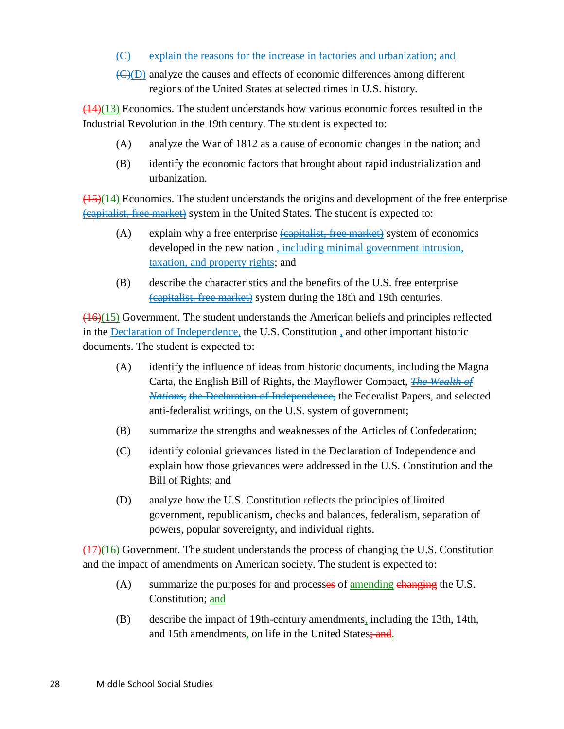### (C) explain the reasons for the increase in factories and urbanization; and

(C)(D) analyze the causes and effects of economic differences among different regions of the United States at selected times in U.S. history.

 $(14)(13)$  Economics. The student understands how various economic forces resulted in the Industrial Revolution in the 19th century. The student is expected to:

- (A) analyze the War of 1812 as a cause of economic changes in the nation; and
- (B) identify the economic factors that brought about rapid industrialization and urbanization.

 $(15)(14)$  Economics. The student understands the origins and development of the free enterprise (capitalist, free market) system in the United States. The student is expected to:

- $(A)$  explain why a free enterprise  $\left(\frac{1}{2}, \frac{1}{2}\right)$  explanately system of economics developed in the new nation , including minimal government intrusion, taxation, and property rights; and
- (B) describe the characteristics and the benefits of the U.S. free enterprise (capitalist, free market) system during the 18th and 19th centuries.

(16)(15) Government. The student understands the American beliefs and principles reflected in the Declaration of Independence, the U.S. Constitution , and other important historic documents. The student is expected to:

- (A) identify the influence of ideas from historic documents, including the Magna Carta, the English Bill of Rights, the Mayflower Compact, *The Wealth of Nations*, the Declaration of Independence, the Federalist Papers, and selected anti-federalist writings, on the U.S. system of government;
- (B) summarize the strengths and weaknesses of the Articles of Confederation;
- (C) identify colonial grievances listed in the Declaration of Independence and explain how those grievances were addressed in the U.S. Constitution and the Bill of Rights; and
- (D) analyze how the U.S. Constitution reflects the principles of limited government, republicanism, checks and balances, federalism, separation of powers, popular sovereignty, and individual rights.

 $(17)(16)$  Government. The student understands the process of changing the U.S. Constitution and the impact of amendments on American society. The student is expected to:

- (A) summarize the purposes for and processes of <u>amending changing</u> the U.S. Constitution; and
- (B) describe the impact of 19th-century amendments, including the 13th, 14th, and 15th amendments, on life in the United States; and.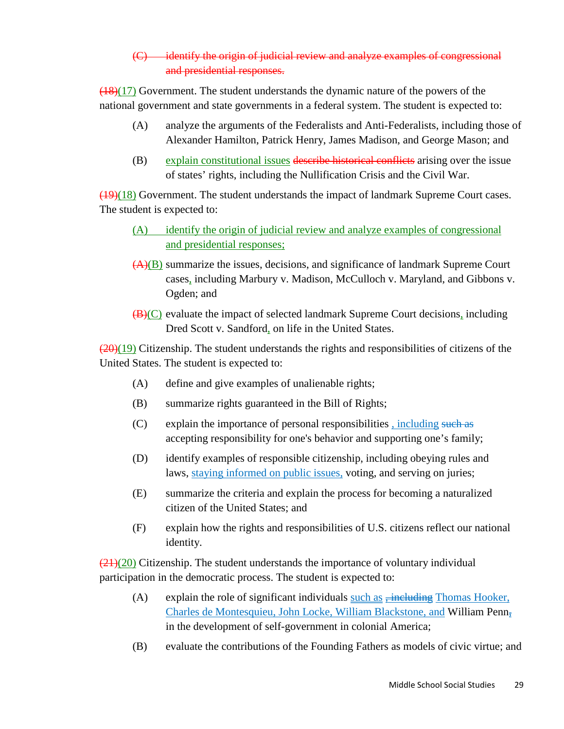# (C) identify the origin of judicial review and analyze examples of congressional and presidential responses.

 $(18)(17)$  Government. The student understands the dynamic nature of the powers of the national government and state governments in a federal system. The student is expected to:

- (A) analyze the arguments of the Federalists and Anti-Federalists, including those of Alexander Hamilton, Patrick Henry, James Madison, and George Mason; and
- (B) explain constitutional issues describe historical conflicts arising over the issue of states' rights, including the Nullification Crisis and the Civil War.

(19)(18) Government. The student understands the impact of landmark Supreme Court cases. The student is expected to:

- (A) identify the origin of judicial review and analyze examples of congressional and presidential responses;
- (A)(B) summarize the issues, decisions, and significance of landmark Supreme Court cases, including Marbury v. Madison, McCulloch v. Maryland, and Gibbons v. Ogden; and
- $(\overline{B})(C)$  evaluate the impact of selected landmark Supreme Court decisions, including Dred Scott v. Sandford, on life in the United States.

 $(20)(19)$  Citizenship. The student understands the rights and responsibilities of citizens of the United States. The student is expected to:

- (A) define and give examples of unalienable rights;
- (B) summarize rights guaranteed in the Bill of Rights;
- (C) explain the importance of personal responsibilities , including such as accepting responsibility for one's behavior and supporting one's family;
- (D) identify examples of responsible citizenship, including obeying rules and laws, staying informed on public issues, voting, and serving on juries;
- (E) summarize the criteria and explain the process for becoming a naturalized citizen of the United States; and
- (F) explain how the rights and responsibilities of U.S. citizens reflect our national identity.

 $(21)(20)$  Citizenship. The student understands the importance of voluntary individual participation in the democratic process. The student is expected to:

- (A) explain the role of significant individuals such as  $\frac{1}{2}$  = including Thomas Hooker, Charles de Montesquieu, John Locke, William Blackstone, and William Penn<sub><sup>7</sup></sub> in the development of self-government in colonial America;
- (B) evaluate the contributions of the Founding Fathers as models of civic virtue; and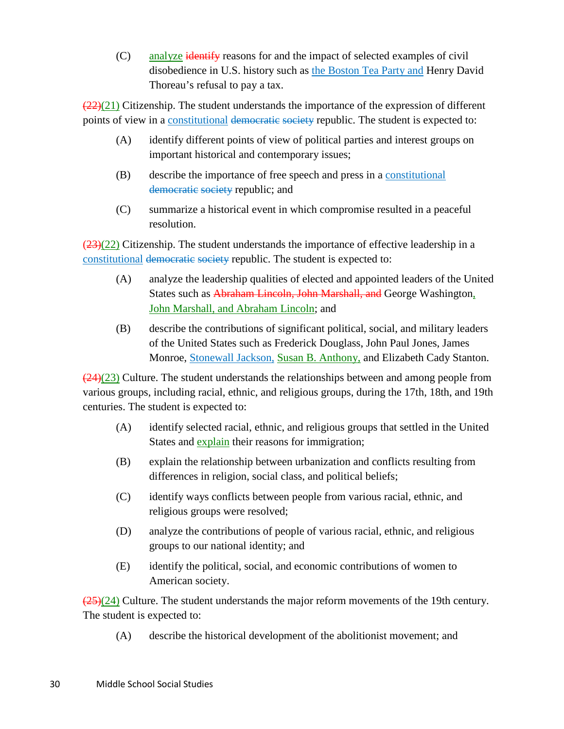(C) analyze identify reasons for and the impact of selected examples of civil disobedience in U.S. history such as the Boston Tea Party and Henry David Thoreau's refusal to pay a tax.

 $\left(\frac{22}{21}\right)$  Citizenship. The student understands the importance of the expression of different points of view in a constitutional democratic society republic. The student is expected to:

- (A) identify different points of view of political parties and interest groups on important historical and contemporary issues;
- (B) describe the importance of free speech and press in a constitutional democratic society republic; and
- (C) summarize a historical event in which compromise resulted in a peaceful resolution.

 $(23)(22)$  Citizenship. The student understands the importance of effective leadership in a constitutional democratic society republic. The student is expected to:

- (A) analyze the leadership qualities of elected and appointed leaders of the United States such as Abraham Lincoln, John Marshall, and George Washington, John Marshall, and Abraham Lincoln; and
- (B) describe the contributions of significant political, social, and military leaders of the United States such as Frederick Douglass, John Paul Jones, James Monroe, Stonewall Jackson, Susan B. Anthony, and Elizabeth Cady Stanton.

 $\left(\frac{24}{23}\right)$  Culture. The student understands the relationships between and among people from various groups, including racial, ethnic, and religious groups, during the 17th, 18th, and 19th centuries. The student is expected to:

- (A) identify selected racial, ethnic, and religious groups that settled in the United States and explain their reasons for immigration;
- (B) explain the relationship between urbanization and conflicts resulting from differences in religion, social class, and political beliefs;
- (C) identify ways conflicts between people from various racial, ethnic, and religious groups were resolved;
- (D) analyze the contributions of people of various racial, ethnic, and religious groups to our national identity; and
- (E) identify the political, social, and economic contributions of women to American society.

 $\left(\frac{25}{2}\right)\left(24\right)$  Culture. The student understands the major reform movements of the 19th century. The student is expected to:

(A) describe the historical development of the abolitionist movement; and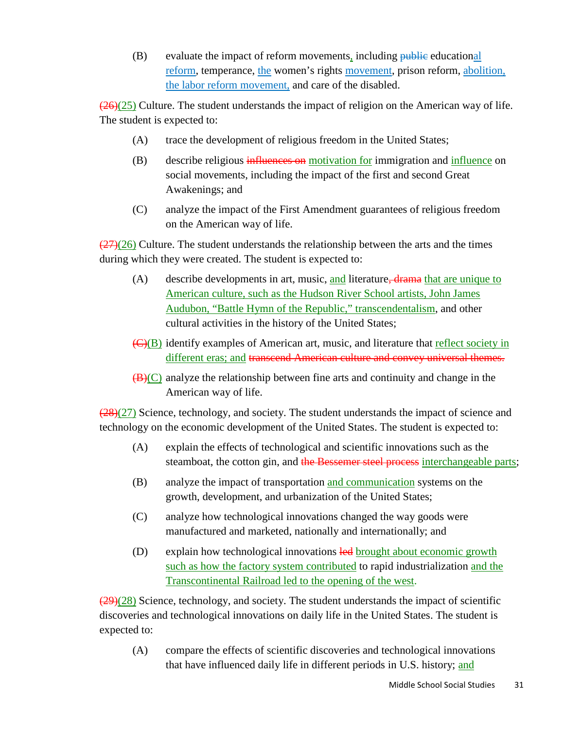$(B)$  evaluate the impact of reform movements, including public educational reform, temperance, the women's rights movement, prison reform, abolition, the labor reform movement, and care of the disabled.

 $\left(\frac{26}{25}\right)$  Culture. The student understands the impact of religion on the American way of life. The student is expected to:

- (A) trace the development of religious freedom in the United States;
- (B) describe religious influences on motivation for immigration and influence on social movements, including the impact of the first and second Great Awakenings; and
- (C) analyze the impact of the First Amendment guarantees of religious freedom on the American way of life.

 $(27)(26)$  Culture. The student understands the relationship between the arts and the times during which they were created. The student is expected to:

- (A) describe developments in art, music, and literature,  $\frac{d}{d}$  drama that are unique to American culture, such as the Hudson River School artists, John James Audubon, "Battle Hymn of the Republic," transcendentalism, and other cultural activities in the history of the United States;
- (C)(B) identify examples of American art, music, and literature that reflect society in different eras; and transcend American culture and convey universal themes.
- $(\mathbf{B})(C)$  analyze the relationship between fine arts and continuity and change in the American way of life.

 $(28)(27)$  Science, technology, and society. The student understands the impact of science and technology on the economic development of the United States. The student is expected to:

- (A) explain the effects of technological and scientific innovations such as the steamboat, the cotton gin, and the Bessemer steel process interchangeable parts;
- (B) analyze the impact of transportation and communication systems on the growth, development, and urbanization of the United States;
- (C) analyze how technological innovations changed the way goods were manufactured and marketed, nationally and internationally; and
- (D) explain how technological innovations led brought about economic growth such as how the factory system contributed to rapid industrialization and the Transcontinental Railroad led to the opening of the west.

 $\left(\frac{29}{28}\right)$  Science, technology, and society. The student understands the impact of scientific discoveries and technological innovations on daily life in the United States. The student is expected to:

(A) compare the effects of scientific discoveries and technological innovations that have influenced daily life in different periods in U.S. history; and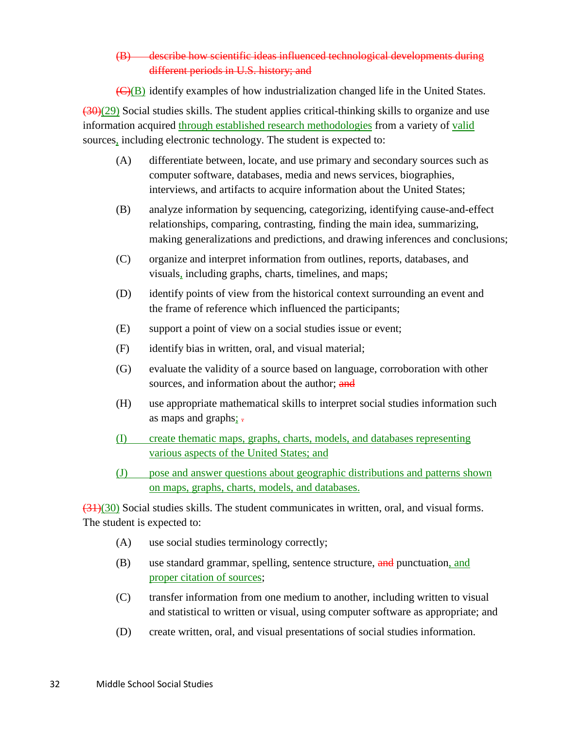## (B) describe how scientific ideas influenced technological developments during different periods in U.S. history; and

 $\overline{(C)(B)}$  identify examples of how industrialization changed life in the United States.

 $(30)(29)$  Social studies skills. The student applies critical-thinking skills to organize and use information acquired through established research methodologies from a variety of valid sources, including electronic technology. The student is expected to:

- (A) differentiate between, locate, and use primary and secondary sources such as computer software, databases, media and news services, biographies, interviews, and artifacts to acquire information about the United States;
- (B) analyze information by sequencing, categorizing, identifying cause-and-effect relationships, comparing, contrasting, finding the main idea, summarizing, making generalizations and predictions, and drawing inferences and conclusions;
- (C) organize and interpret information from outlines, reports, databases, and visuals, including graphs, charts, timelines, and maps;
- (D) identify points of view from the historical context surrounding an event and the frame of reference which influenced the participants;
- (E) support a point of view on a social studies issue or event;
- (F) identify bias in written, oral, and visual material;
- (G) evaluate the validity of a source based on language, corroboration with other sources, and information about the author; and
- (H) use appropriate mathematical skills to interpret social studies information such as maps and graphs;  $\frac{1}{2}$
- (I) create thematic maps, graphs, charts, models, and databases representing various aspects of the United States; and
- (J) pose and answer questions about geographic distributions and patterns shown on maps, graphs, charts, models, and databases.

 $(31)(30)$  Social studies skills. The student communicates in written, oral, and visual forms. The student is expected to:

- (A) use social studies terminology correctly;
- (B) use standard grammar, spelling, sentence structure, and punctuation, and proper citation of sources;
- (C) transfer information from one medium to another, including written to visual and statistical to written or visual, using computer software as appropriate; and
- (D) create written, oral, and visual presentations of social studies information.